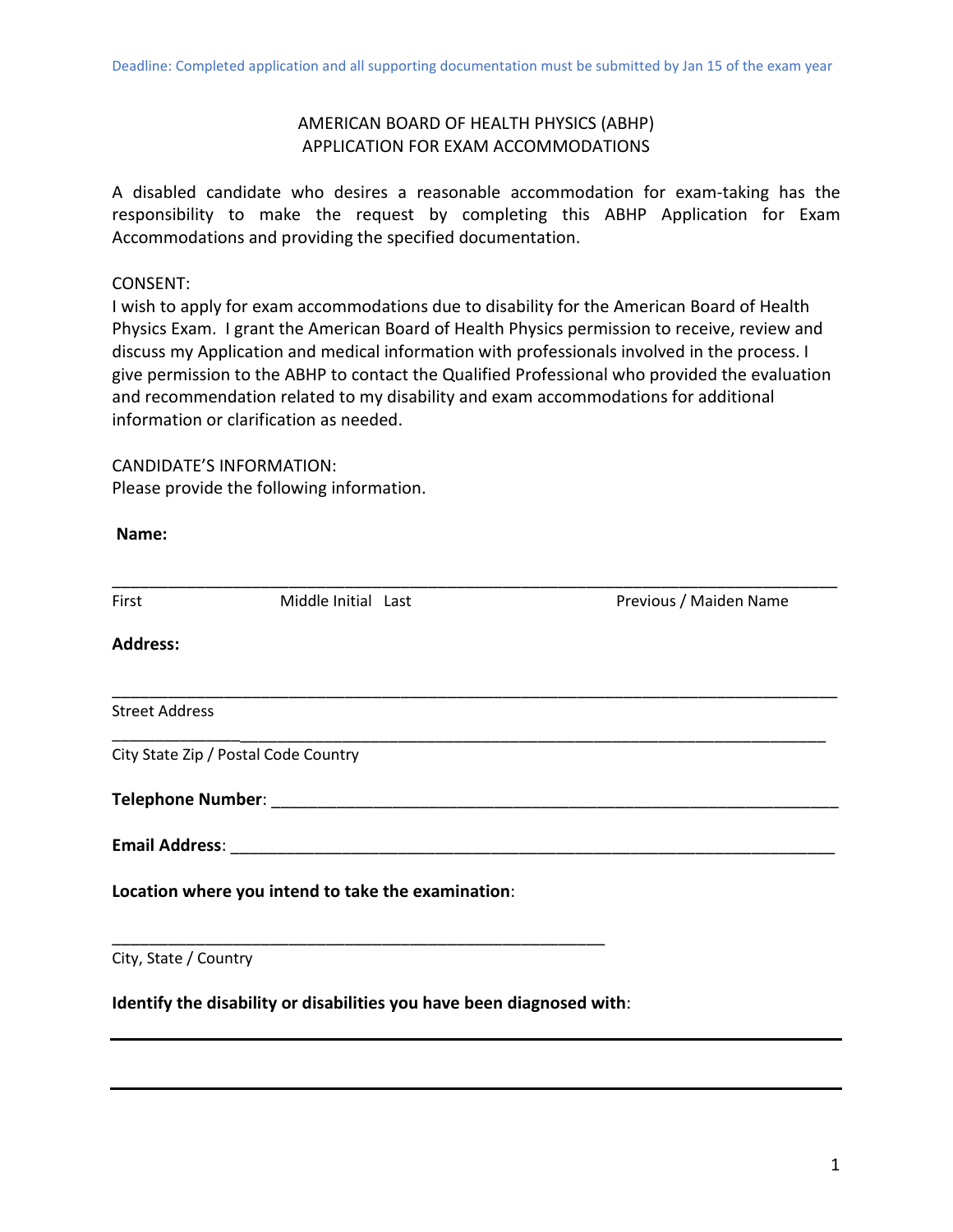# AMERICAN BOARD OF HEALTH PHYSICS (ABHP) APPLICATION FOR EXAM ACCOMMODATIONS

A disabled candidate who desires a reasonable accommodation for exam-taking has the responsibility to make the request by completing this ABHP Application for Exam Accommodations and providing the specified documentation.

## CONSENT:

I wish to apply for exam accommodations due to disability for the American Board of Health Physics Exam. I grant the American Board of Health Physics permission to receive, review and discuss my Application and medical information with professionals involved in the process. I give permission to the ABHP to contact the Qualified Professional who provided the evaluation and recommendation related to my disability and exam accommodations for additional information or clarification as needed.

## CANDIDATE'S INFORMATION:

Please provide the following information.

| Name:                 |                                                                       |                        |
|-----------------------|-----------------------------------------------------------------------|------------------------|
| First                 | Middle Initial Last                                                   | Previous / Maiden Name |
| <b>Address:</b>       |                                                                       |                        |
| <b>Street Address</b> |                                                                       |                        |
|                       | City State Zip / Postal Code Country                                  |                        |
|                       |                                                                       |                        |
|                       |                                                                       |                        |
|                       | Location where you intend to take the examination:                    |                        |
| City, State / Country |                                                                       |                        |
|                       | Identify the disability or disabilities you have been diagnosed with: |                        |
|                       |                                                                       |                        |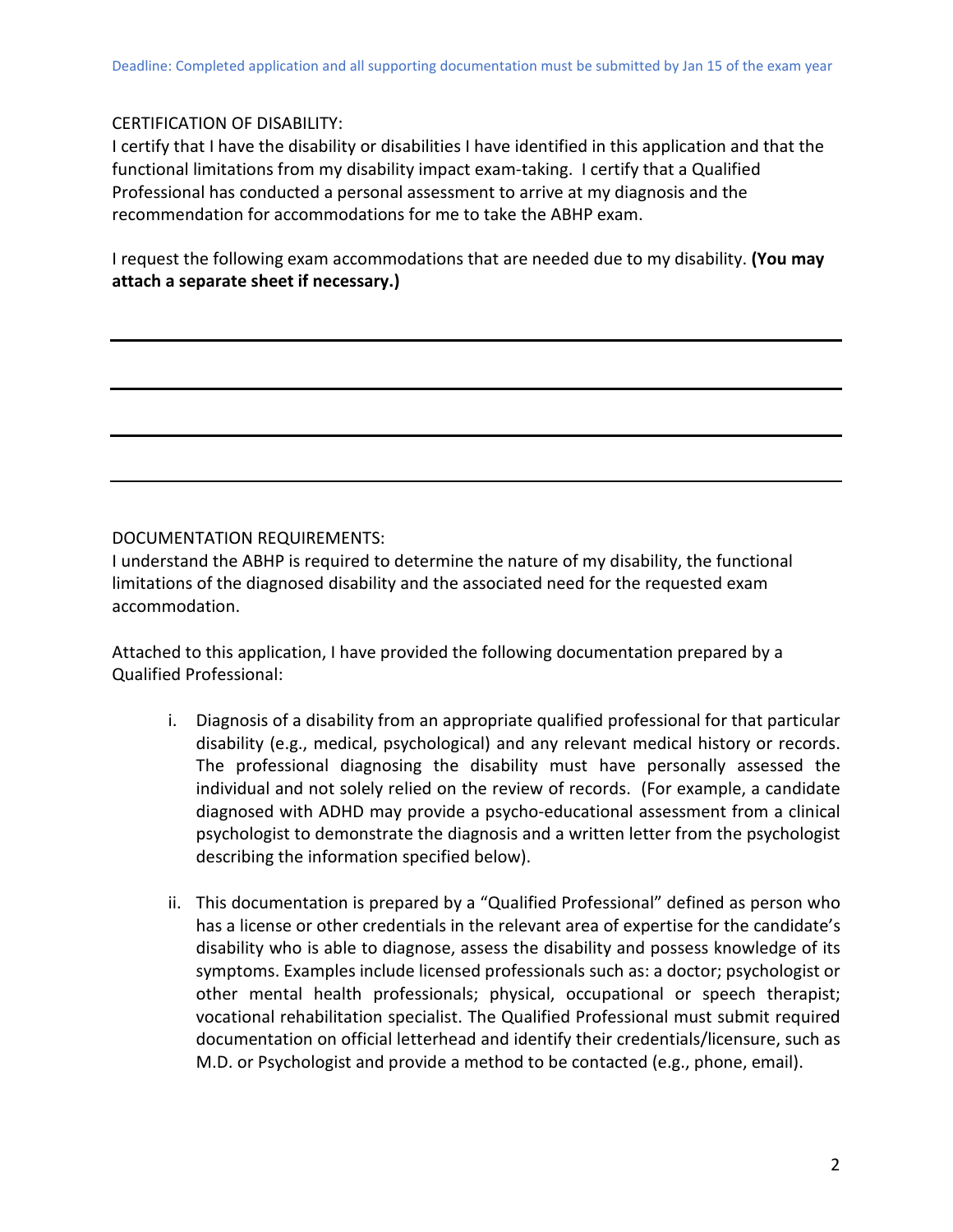### CERTIFICATION OF DISABILITY:

I certify that I have the disability or disabilities I have identified in this application and that the functional limitations from my disability impact exam-taking. I certify that a Qualified Professional has conducted a personal assessment to arrive at my diagnosis and the recommendation for accommodations for me to take the ABHP exam.

I request the following exam accommodations that are needed due to my disability. **(You may attach a separate sheet if necessary.)** 

## DOCUMENTATION REQUIREMENTS:

I understand the ABHP is required to determine the nature of my disability, the functional limitations of the diagnosed disability and the associated need for the requested exam accommodation.

Attached to this application, I have provided the following documentation prepared by a Qualified Professional:

- i. Diagnosis of a disability from an appropriate qualified professional for that particular disability (e.g., medical, psychological) and any relevant medical history or records. The professional diagnosing the disability must have personally assessed the individual and not solely relied on the review of records. (For example, a candidate diagnosed with ADHD may provide a psycho-educational assessment from a clinical psychologist to demonstrate the diagnosis and a written letter from the psychologist describing the information specified below).
- ii. This documentation is prepared by a "Qualified Professional" defined as person who has a license or other credentials in the relevant area of expertise for the candidate's disability who is able to diagnose, assess the disability and possess knowledge of its symptoms. Examples include licensed professionals such as: a doctor; psychologist or other mental health professionals; physical, occupational or speech therapist; vocational rehabilitation specialist. The Qualified Professional must submit required documentation on official letterhead and identify their credentials/licensure, such as M.D. or Psychologist and provide a method to be contacted (e.g., phone, email).